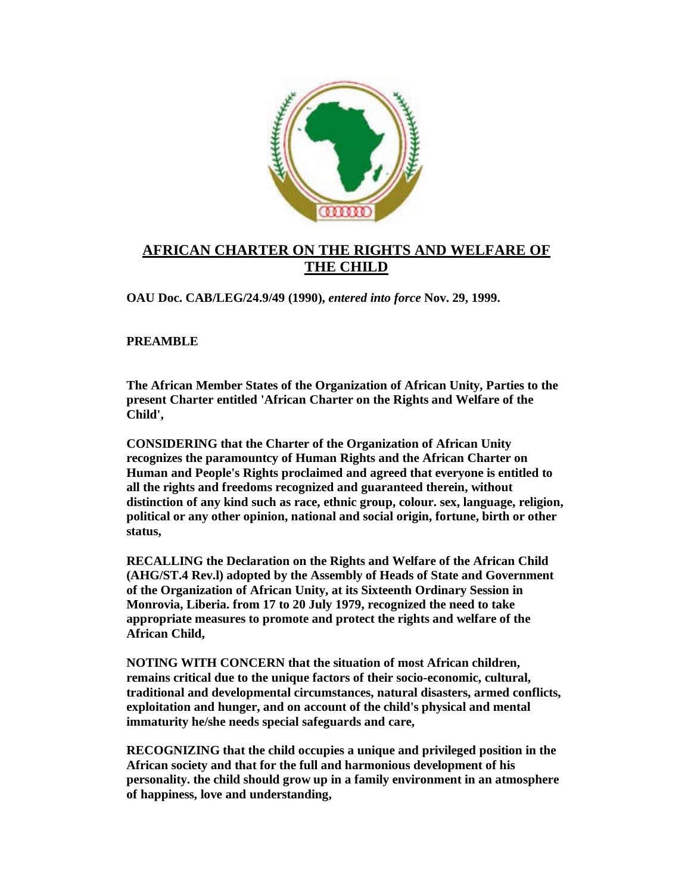

# **AFRICAN CHARTER ON THE RIGHTS AND WELFARE OF THE CHILD**

**OAU Doc. CAB/LEG/24.9/49 (1990),** *entered into force* **Nov. 29, 1999.**

**PREAMBLE**

**The African Member States of the Organization of African Unity, Parties to the present Charter entitled 'African Charter on the Rights and Welfare of the Child',**

**CONSIDERING that the Charter of the Organization of African Unity recognizes the paramountcy of Human Rights and the African Charter on Human and People's Rights proclaimed and agreed that everyone is entitled to all the rights and freedoms recognized and guaranteed therein, without distinction of any kind such as race, ethnic group, colour. sex, language, religion, political or any other opinion, national and social origin, fortune, birth or other status,**

**RECALLING the Declaration on the Rights and Welfare of the African Child (AHG/ST.4 Rev.l) adopted by the Assembly of Heads of State and Government of the Organization of African Unity, at its Sixteenth Ordinary Session in Monrovia, Liberia. from 17 to 20 July 1979, recognized the need to take appropriate measures to promote and protect the rights and welfare of the African Child,**

**NOTING WITH CONCERN that the situation of most African children, remains critical due to the unique factors of their socio-economic, cultural, traditional and developmental circumstances, natural disasters, armed conflicts, exploitation and hunger, and on account of the child's physical and mental immaturity he/she needs special safeguards and care,**

**RECOGNIZING that the child occupies a unique and privileged position in the African society and that for the full and harmonious development of his personality. the child should grow up in a family environment in an atmosphere of happiness, love and understanding,**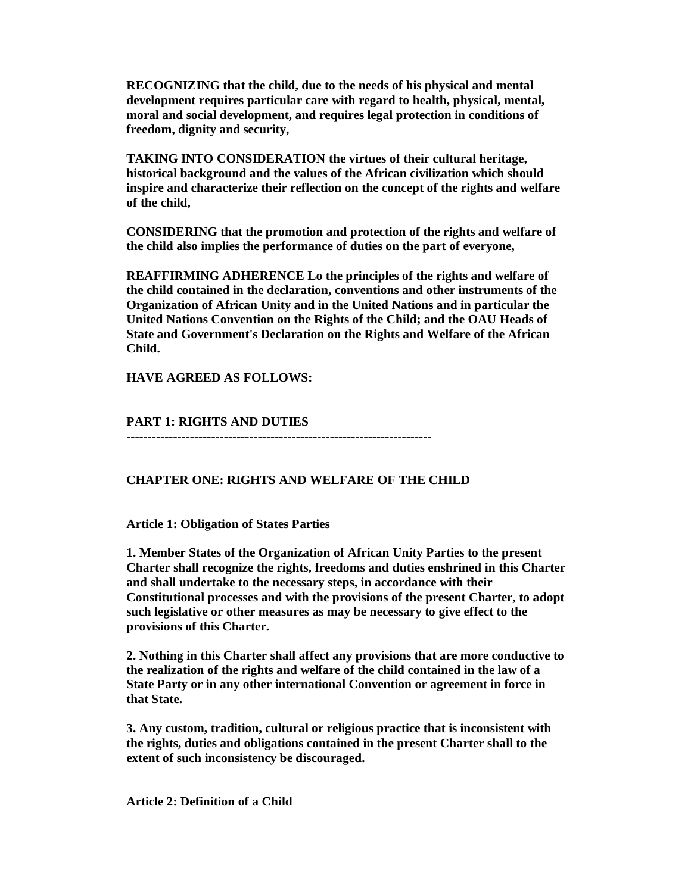**RECOGNIZING that the child, due to the needs of his physical and mental development requires particular care with regard to health, physical, mental, moral and social development, and requires legal protection in conditions of freedom, dignity and security,**

**TAKING INTO CONSIDERATION the virtues of their cultural heritage, historical background and the values of the African civilization which should inspire and characterize their reflection on the concept of the rights and welfare of the child,**

**CONSIDERING that the promotion and protection of the rights and welfare of the child also implies the performance of duties on the part of everyone,**

**REAFFIRMING ADHERENCE Lo the principles of the rights and welfare of the child contained in the declaration, conventions and other instruments of the Organization of African Unity and in the United Nations and in particular the United Nations Convention on the Rights of the Child; and the OAU Heads of State and Government's Declaration on the Rights and Welfare of the African Child.**

**HAVE AGREED AS FOLLOWS:**

**PART 1: RIGHTS AND DUTIES** 

**------------------------------------------------------------------------**

## **CHAPTER ONE: RIGHTS AND WELFARE OF THE CHILD**

**Article 1: Obligation of States Parties**

**1. Member States of the Organization of African Unity Parties to the present Charter shall recognize the rights, freedoms and duties enshrined in this Charter and shall undertake to the necessary steps, in accordance with their Constitutional processes and with the provisions of the present Charter, to adopt such legislative or other measures as may be necessary to give effect to the provisions of this Charter.**

**2. Nothing in this Charter shall affect any provisions that are more conductive to the realization of the rights and welfare of the child contained in the law of a State Party or in any other international Convention or agreement in force in that State.**

**3. Any custom, tradition, cultural or religious practice that is inconsistent with the rights, duties and obligations contained in the present Charter shall to the extent of such inconsistency be discouraged.**

**Article 2: Definition of a Child**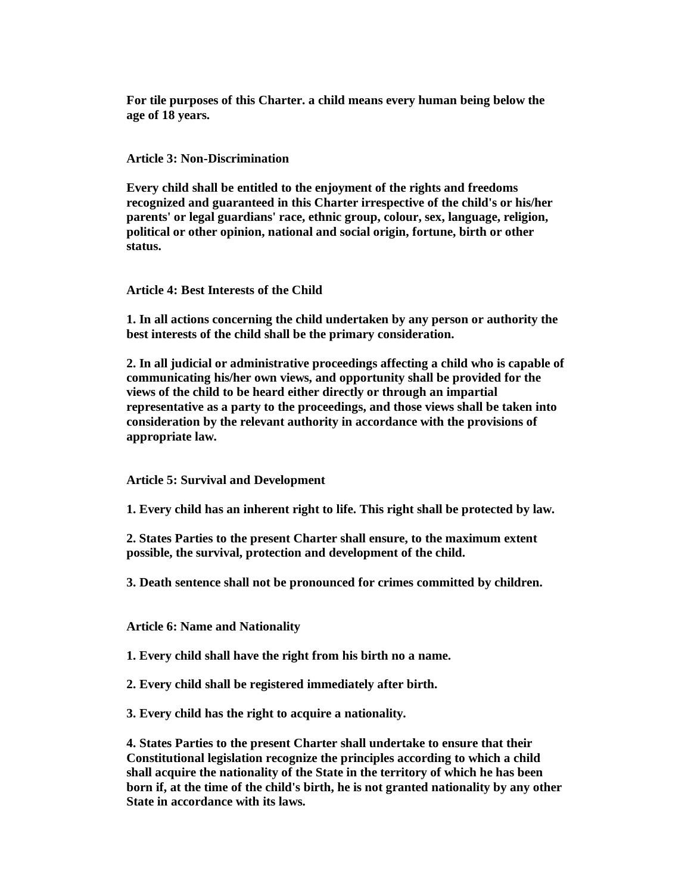**For tile purposes of this Charter. a child means every human being below the age of 18 years.**

**Article 3: Non-Discrimination**

**Every child shall be entitled to the enjoyment of the rights and freedoms recognized and guaranteed in this Charter irrespective of the child's or his/her parents' or legal guardians' race, ethnic group, colour, sex, language, religion, political or other opinion, national and social origin, fortune, birth or other status.**

**Article 4: Best Interests of the Child** 

**1. In all actions concerning the child undertaken by any person or authority the best interests of the child shall be the primary consideration.**

**2. In all judicial or administrative proceedings affecting a child who is capable of communicating his/her own views, and opportunity shall be provided for the views of the child to be heard either directly or through an impartial representative as a party to the proceedings, and those views shall be taken into consideration by the relevant authority in accordance with the provisions of appropriate law.**

**Article 5: Survival and Development**

**1. Every child has an inherent right to life. This right shall be protected by law.**

**2. States Parties to the present Charter shall ensure, to the maximum extent possible, the survival, protection and development of the child.**

**3. Death sentence shall not be pronounced for crimes committed by children.**

**Article 6: Name and Nationality**

**1. Every child shall have the right from his birth no a name.**

**2. Every child shall be registered immediately after birth.**

**3. Every child has the right to acquire a nationality.**

**4. States Parties to the present Charter shall undertake to ensure that their Constitutional legislation recognize the principles according to which a child shall acquire the nationality of the State in the territory of which he has been born if, at the time of the child's birth, he is not granted nationality by any other State in accordance with its laws.**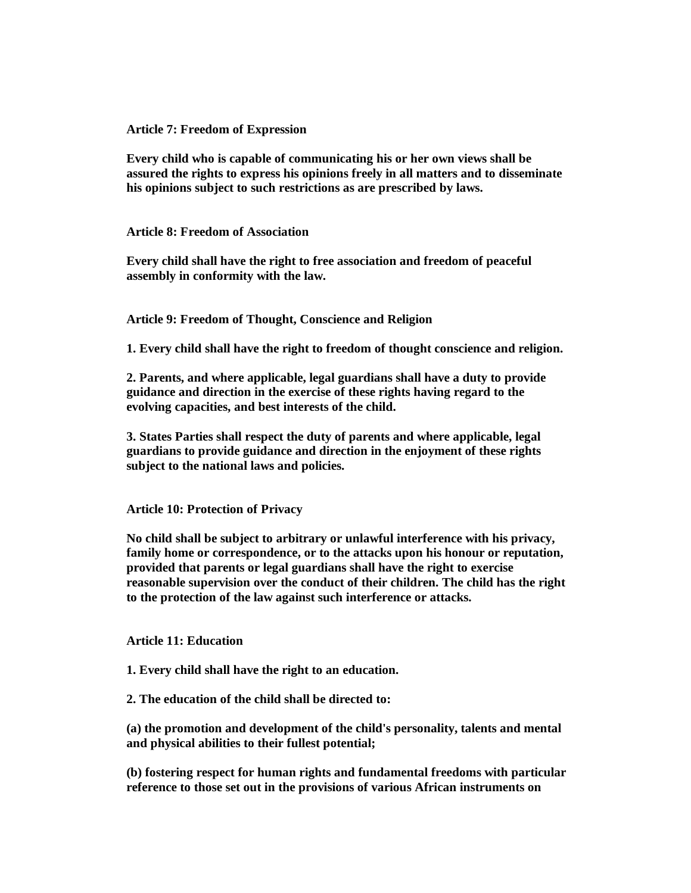**Article 7: Freedom of Expression**

**Every child who is capable of communicating his or her own views shall be assured the rights to express his opinions freely in all matters and to disseminate his opinions subject to such restrictions as are prescribed by laws.**

**Article 8: Freedom of Association**

**Every child shall have the right to free association and freedom of peaceful assembly in conformity with the law.**

**Article 9: Freedom of Thought, Conscience and Religion**

**1. Every child shall have the right to freedom of thought conscience and religion.**

**2. Parents, and where applicable, legal guardians shall have a duty to provide guidance and direction in the exercise of these rights having regard to the evolving capacities, and best interests of the child.**

**3. States Parties shall respect the duty of parents and where applicable, legal guardians to provide guidance and direction in the enjoyment of these rights subject to the national laws and policies.**

**Article 10: Protection of Privacy**

**No child shall be subject to arbitrary or unlawful interference with his privacy, family home or correspondence, or to the attacks upon his honour or reputation, provided that parents or legal guardians shall have the right to exercise reasonable supervision over the conduct of their children. The child has the right to the protection of the law against such interference or attacks.**

**Article 11: Education** 

**1. Every child shall have the right to an education.**

**2. The education of the child shall be directed to:**

**(a) the promotion and development of the child's personality, talents and mental and physical abilities to their fullest potential;**

**(b) fostering respect for human rights and fundamental freedoms with particular reference to those set out in the provisions of various African instruments on**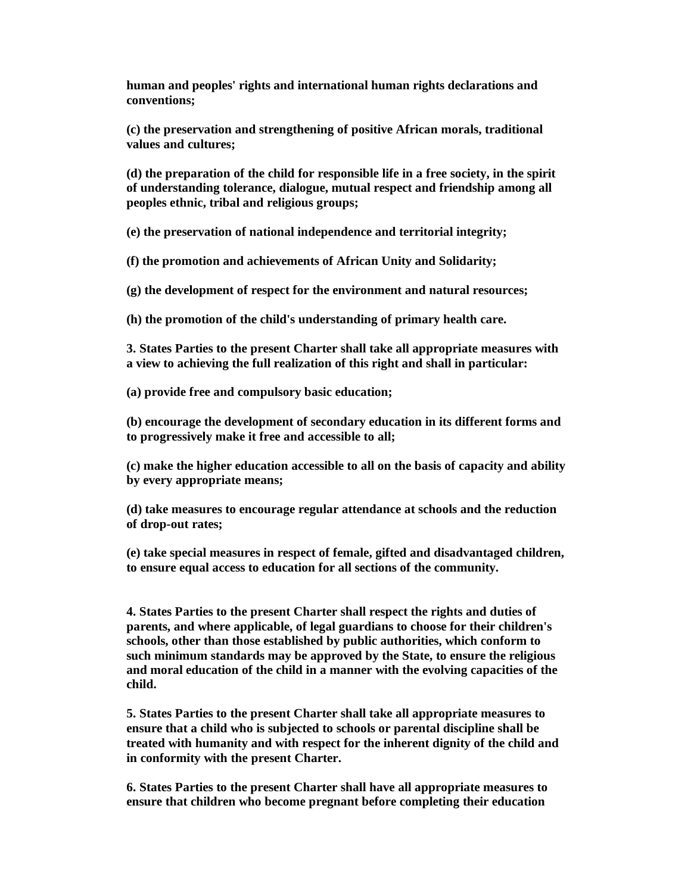**human and peoples' rights and international human rights declarations and conventions;**

**(c) the preservation and strengthening of positive African morals, traditional values and cultures;**

**(d) the preparation of the child for responsible life in a free society, in the spirit of understanding tolerance, dialogue, mutual respect and friendship among all peoples ethnic, tribal and religious groups;**

**(e) the preservation of national independence and territorial integrity;**

**(f) the promotion and achievements of African Unity and Solidarity;**

**(g) the development of respect for the environment and natural resources;**

**(h) the promotion of the child's understanding of primary health care.**

**3. States Parties to the present Charter shall take all appropriate measures with a view to achieving the full realization of this right and shall in particular:**

**(a) provide free and compulsory basic education;**

**(b) encourage the development of secondary education in its different forms and to progressively make it free and accessible to all;**

**(c) make the higher education accessible to all on the basis of capacity and ability by every appropriate means;**

**(d) take measures to encourage regular attendance at schools and the reduction of drop-out rates;**

**(e) take special measures in respect of female, gifted and disadvantaged children, to ensure equal access to education for all sections of the community.**

**4. States Parties to the present Charter shall respect the rights and duties of parents, and where applicable, of legal guardians to choose for their children's schools, other than those established by public authorities, which conform to such minimum standards may be approved by the State, to ensure the religious and moral education of the child in a manner with the evolving capacities of the child.**

**5. States Parties to the present Charter shall take all appropriate measures to ensure that a child who is subjected to schools or parental discipline shall be treated with humanity and with respect for the inherent dignity of the child and in conformity with the present Charter.**

**6. States Parties to the present Charter shall have all appropriate measures to ensure that children who become pregnant before completing their education**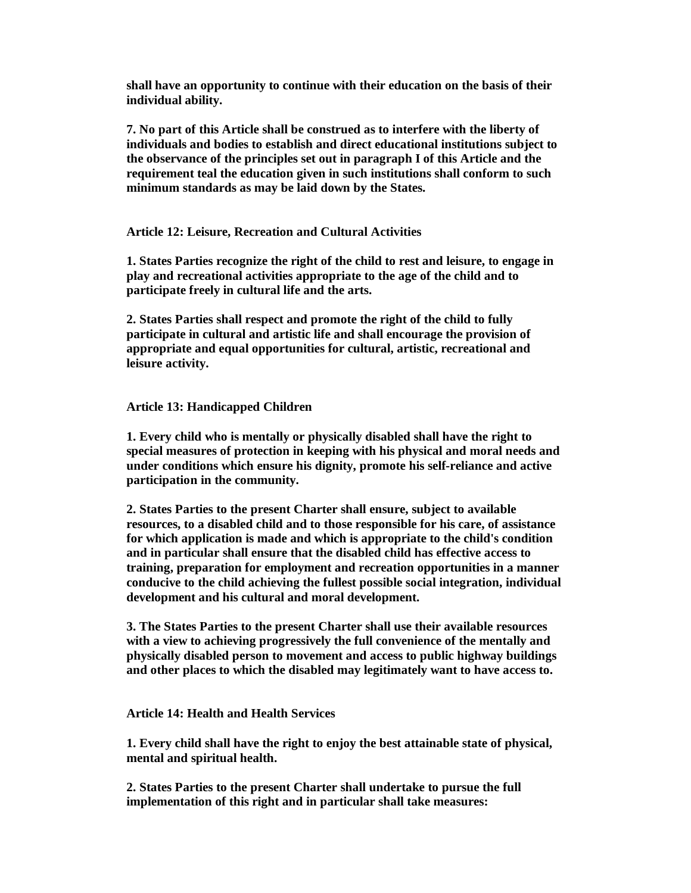**shall have an opportunity to continue with their education on the basis of their individual ability.**

**7. No part of this Article shall be construed as to interfere with the liberty of individuals and bodies to establish and direct educational institutions subject to the observance of the principles set out in paragraph I of this Article and the requirement teal the education given in such institutions shall conform to such minimum standards as may be laid down by the States.**

**Article 12: Leisure, Recreation and Cultural Activities**

**1. States Parties recognize the right of the child to rest and leisure, to engage in play and recreational activities appropriate to the age of the child and to participate freely in cultural life and the arts.**

**2. States Parties shall respect and promote the right of the child to fully participate in cultural and artistic life and shall encourage the provision of appropriate and equal opportunities for cultural, artistic, recreational and leisure activity.**

#### **Article 13: Handicapped Children**

**1. Every child who is mentally or physically disabled shall have the right to special measures of protection in keeping with his physical and moral needs and under conditions which ensure his dignity, promote his self-reliance and active participation in the community.**

**2. States Parties to the present Charter shall ensure, subject to available resources, to a disabled child and to those responsible for his care, of assistance for which application is made and which is appropriate to the child's condition and in particular shall ensure that the disabled child has effective access to training, preparation for employment and recreation opportunities in a manner conducive to the child achieving the fullest possible social integration, individual development and his cultural and moral development.**

**3. The States Parties to the present Charter shall use their available resources with a view to achieving progressively the full convenience of the mentally and physically disabled person to movement and access to public highway buildings and other places to which the disabled may legitimately want to have access to.**

#### **Article 14: Health and Health Services**

**1. Every child shall have the right to enjoy the best attainable state of physical, mental and spiritual health.**

**2. States Parties to the present Charter shall undertake to pursue the full implementation of this right and in particular shall take measures:**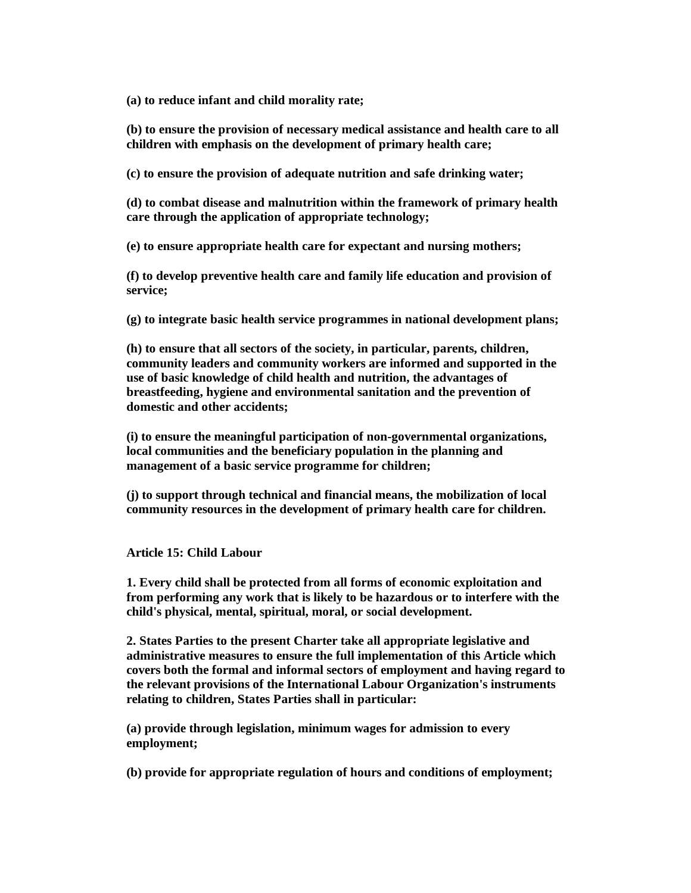**(a) to reduce infant and child morality rate;**

**(b) to ensure the provision of necessary medical assistance and health care to all children with emphasis on the development of primary health care;**

**(c) to ensure the provision of adequate nutrition and safe drinking water;**

**(d) to combat disease and malnutrition within the framework of primary health care through the application of appropriate technology;**

**(e) to ensure appropriate health care for expectant and nursing mothers;**

**(f) to develop preventive health care and family life education and provision of service;**

**(g) to integrate basic health service programmes in national development plans;**

**(h) to ensure that all sectors of the society, in particular, parents, children, community leaders and community workers are informed and supported in the use of basic knowledge of child health and nutrition, the advantages of breastfeeding, hygiene and environmental sanitation and the prevention of domestic and other accidents;**

**(i) to ensure the meaningful participation of non-governmental organizations, local communities and the beneficiary population in the planning and management of a basic service programme for children;**

**(j) to support through technical and financial means, the mobilization of local community resources in the development of primary health care for children.**

#### **Article 15: Child Labour**

**1. Every child shall be protected from all forms of economic exploitation and from performing any work that is likely to be hazardous or to interfere with the child's physical, mental, spiritual, moral, or social development.**

**2. States Parties to the present Charter take all appropriate legislative and administrative measures to ensure the full implementation of this Article which covers both the formal and informal sectors of employment and having regard to the relevant provisions of the International Labour Organization's instruments relating to children, States Parties shall in particular:**

**(a) provide through legislation, minimum wages for admission to every employment;**

**(b) provide for appropriate regulation of hours and conditions of employment;**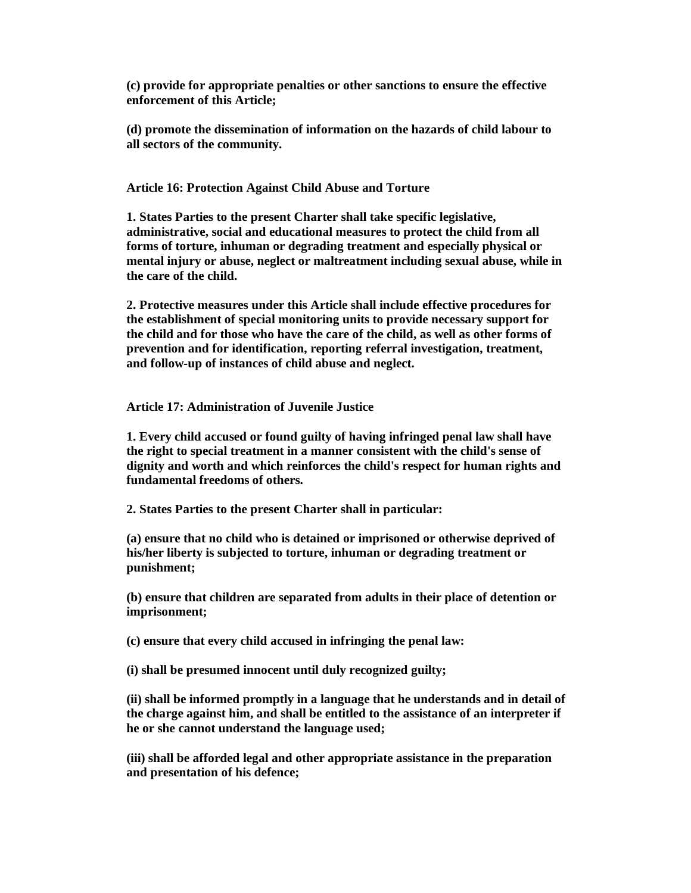**(c) provide for appropriate penalties or other sanctions to ensure the effective enforcement of this Article;**

**(d) promote the dissemination of information on the hazards of child labour to all sectors of the community.**

**Article 16: Protection Against Child Abuse and Torture**

**1. States Parties to the present Charter shall take specific legislative, administrative, social and educational measures to protect the child from all forms of torture, inhuman or degrading treatment and especially physical or mental injury or abuse, neglect or maltreatment including sexual abuse, while in the care of the child.**

**2. Protective measures under this Article shall include effective procedures for the establishment of special monitoring units to provide necessary support for the child and for those who have the care of the child, as well as other forms of prevention and for identification, reporting referral investigation, treatment, and follow-up of instances of child abuse and neglect.**

**Article 17: Administration of Juvenile Justice**

**1. Every child accused or found guilty of having infringed penal law shall have the right to special treatment in a manner consistent with the child's sense of dignity and worth and which reinforces the child's respect for human rights and fundamental freedoms of others.**

**2. States Parties to the present Charter shall in particular:**

**(a) ensure that no child who is detained or imprisoned or otherwise deprived of his/her liberty is subjected to torture, inhuman or degrading treatment or punishment;**

**(b) ensure that children are separated from adults in their place of detention or imprisonment;**

**(c) ensure that every child accused in infringing the penal law:**

**(i) shall be presumed innocent until duly recognized guilty;**

**(ii) shall be informed promptly in a language that he understands and in detail of the charge against him, and shall be entitled to the assistance of an interpreter if he or she cannot understand the language used;**

**(iii) shall be afforded legal and other appropriate assistance in the preparation and presentation of his defence;**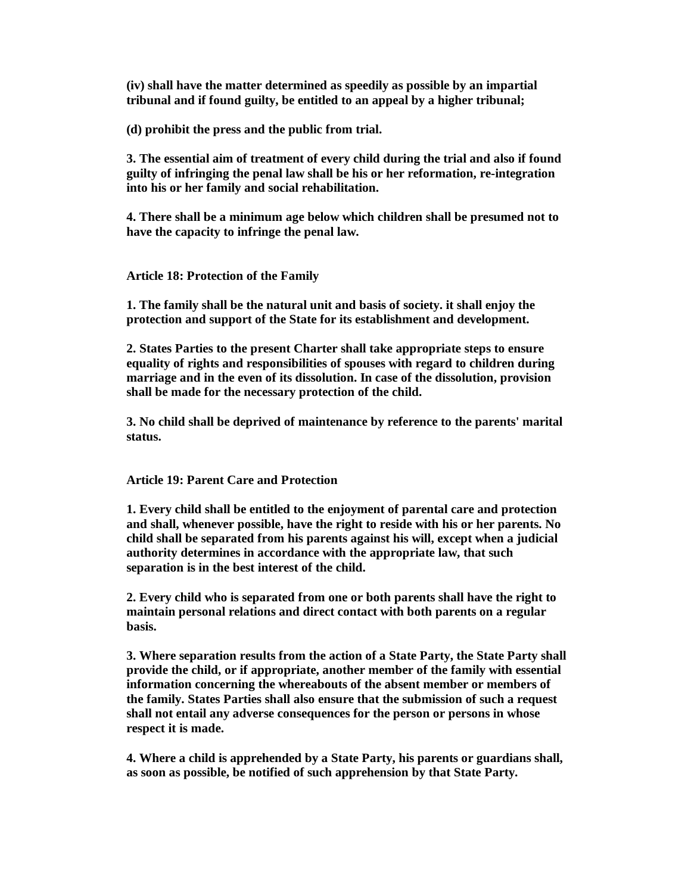**(iv) shall have the matter determined as speedily as possible by an impartial tribunal and if found guilty, be entitled to an appeal by a higher tribunal;**

**(d) prohibit the press and the public from trial.**

**3. The essential aim of treatment of every child during the trial and also if found guilty of infringing the penal law shall be his or her reformation, re-integration into his or her family and social rehabilitation.**

**4. There shall be a minimum age below which children shall be presumed not to have the capacity to infringe the penal law.**

#### **Article 18: Protection of the Family**

**1. The family shall be the natural unit and basis of society. it shall enjoy the protection and support of the State for its establishment and development.**

**2. States Parties to the present Charter shall take appropriate steps to ensure equality of rights and responsibilities of spouses with regard to children during marriage and in the even of its dissolution. In case of the dissolution, provision shall be made for the necessary protection of the child.**

**3. No child shall be deprived of maintenance by reference to the parents' marital status.**

#### **Article 19: Parent Care and Protection**

**1. Every child shall be entitled to the enjoyment of parental care and protection and shall, whenever possible, have the right to reside with his or her parents. No child shall be separated from his parents against his will, except when a judicial authority determines in accordance with the appropriate law, that such separation is in the best interest of the child.**

**2. Every child who is separated from one or both parents shall have the right to maintain personal relations and direct contact with both parents on a regular basis.**

**3. Where separation results from the action of a State Party, the State Party shall provide the child, or if appropriate, another member of the family with essential information concerning the whereabouts of the absent member or members of the family. States Parties shall also ensure that the submission of such a request shall not entail any adverse consequences for the person or persons in whose respect it is made.**

**4. Where a child is apprehended by a State Party, his parents or guardians shall, as soon as possible, be notified of such apprehension by that State Party.**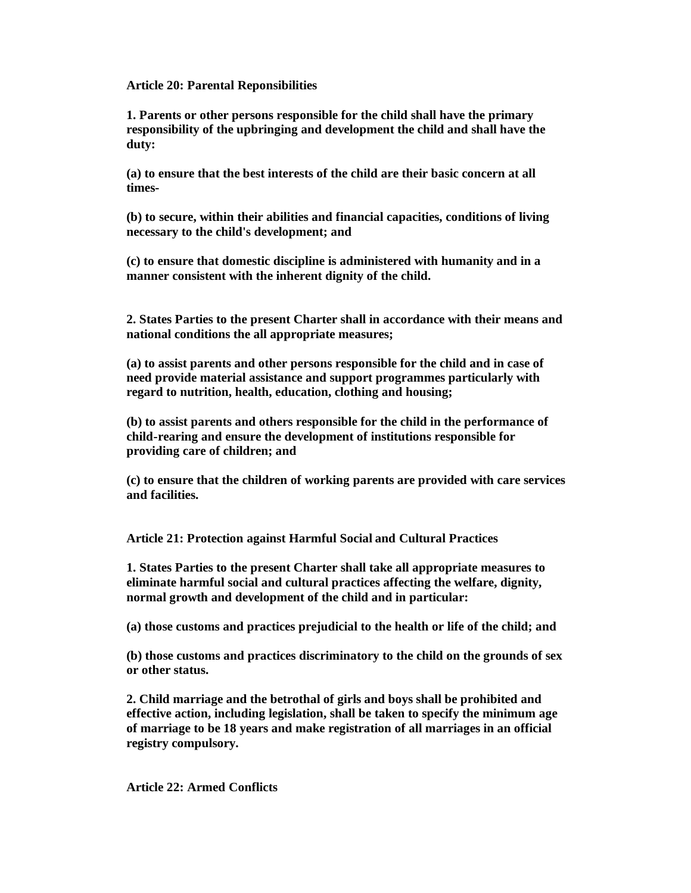**Article 20: Parental Reponsibilities**

**1. Parents or other persons responsible for the child shall have the primary responsibility of the upbringing and development the child and shall have the duty:**

**(a) to ensure that the best interests of the child are their basic concern at all times-**

**(b) to secure, within their abilities and financial capacities, conditions of living necessary to the child's development; and**

**(c) to ensure that domestic discipline is administered with humanity and in a manner consistent with the inherent dignity of the child.**

**2. States Parties to the present Charter shall in accordance with their means and national conditions the all appropriate measures;**

**(a) to assist parents and other persons responsible for the child and in case of need provide material assistance and support programmes particularly with regard to nutrition, health, education, clothing and housing;**

**(b) to assist parents and others responsible for the child in the performance of child-rearing and ensure the development of institutions responsible for providing care of children; and**

**(c) to ensure that the children of working parents are provided with care services and facilities.**

**Article 21: Protection against Harmful Social and Cultural Practices**

**1. States Parties to the present Charter shall take all appropriate measures to eliminate harmful social and cultural practices affecting the welfare, dignity, normal growth and development of the child and in particular:**

**(a) those customs and practices prejudicial to the health or life of the child; and**

**(b) those customs and practices discriminatory to the child on the grounds of sex or other status.**

**2. Child marriage and the betrothal of girls and boys shall be prohibited and effective action, including legislation, shall be taken to specify the minimum age of marriage to be 18 years and make registration of all marriages in an official registry compulsory.**

**Article 22: Armed Conflicts**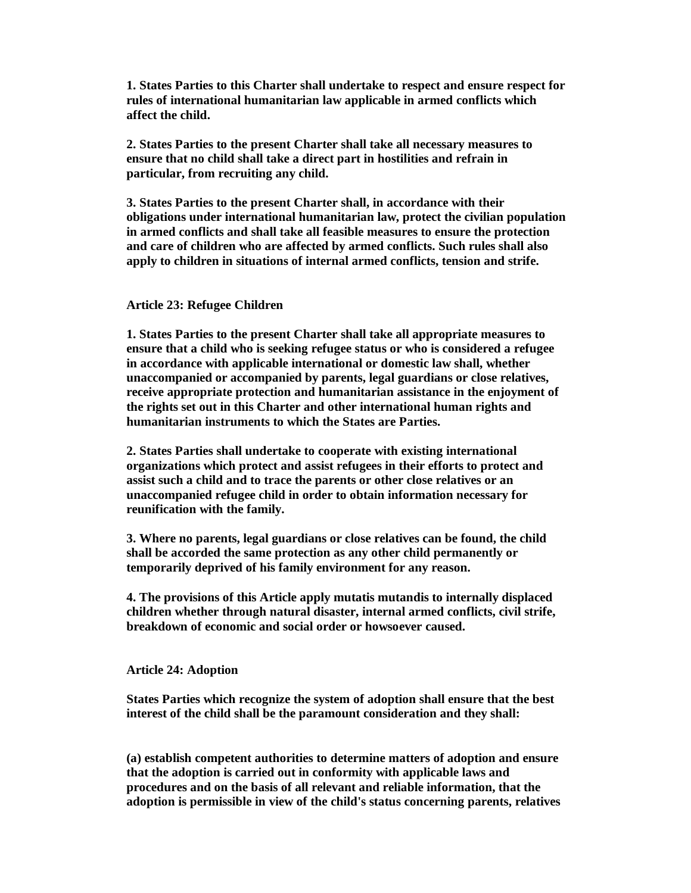**1. States Parties to this Charter shall undertake to respect and ensure respect for rules of international humanitarian law applicable in armed conflicts which affect the child.**

**2. States Parties to the present Charter shall take all necessary measures to ensure that no child shall take a direct part in hostilities and refrain in particular, from recruiting any child.**

**3. States Parties to the present Charter shall, in accordance with their obligations under international humanitarian law, protect the civilian population in armed conflicts and shall take all feasible measures to ensure the protection and care of children who are affected by armed conflicts. Such rules shall also apply to children in situations of internal armed conflicts, tension and strife.**

#### **Article 23: Refugee Children**

**1. States Parties to the present Charter shall take all appropriate measures to ensure that a child who is seeking refugee status or who is considered a refugee in accordance with applicable international or domestic law shall, whether unaccompanied or accompanied by parents, legal guardians or close relatives, receive appropriate protection and humanitarian assistance in the enjoyment of the rights set out in this Charter and other international human rights and humanitarian instruments to which the States are Parties.**

**2. States Parties shall undertake to cooperate with existing international organizations which protect and assist refugees in their efforts to protect and assist such a child and to trace the parents or other close relatives or an unaccompanied refugee child in order to obtain information necessary for reunification with the family.**

**3. Where no parents, legal guardians or close relatives can be found, the child shall be accorded the same protection as any other child permanently or temporarily deprived of his family environment for any reason.**

**4. The provisions of this Article apply mutatis mutandis to internally displaced children whether through natural disaster, internal armed conflicts, civil strife, breakdown of economic and social order or howsoever caused.**

**Article 24: Adoption**

**States Parties which recognize the system of adoption shall ensure that the best interest of the child shall be the paramount consideration and they shall:**

**(a) establish competent authorities to determine matters of adoption and ensure that the adoption is carried out in conformity with applicable laws and procedures and on the basis of all relevant and reliable information, that the adoption is permissible in view of the child's status concerning parents, relatives**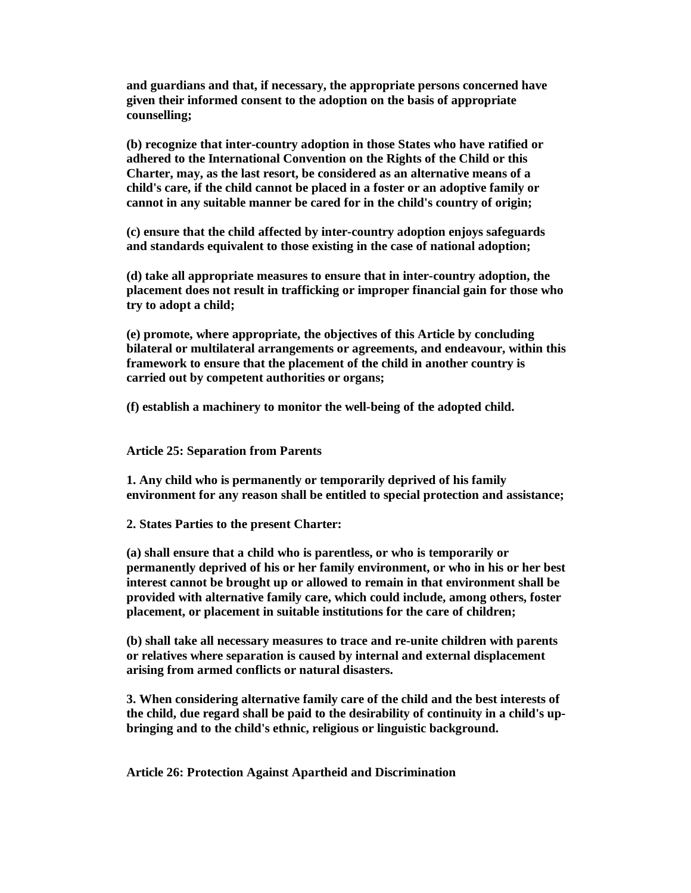**and guardians and that, if necessary, the appropriate persons concerned have given their informed consent to the adoption on the basis of appropriate counselling;**

**(b) recognize that inter-country adoption in those States who have ratified or adhered to the International Convention on the Rights of the Child or this Charter, may, as the last resort, be considered as an alternative means of a child's care, if the child cannot be placed in a foster or an adoptive family or cannot in any suitable manner be cared for in the child's country of origin;**

**(c) ensure that the child affected by inter-country adoption enjoys safeguards and standards equivalent to those existing in the case of national adoption;**

**(d) take all appropriate measures to ensure that in inter-country adoption, the placement does not result in trafficking or improper financial gain for those who try to adopt a child;**

**(e) promote, where appropriate, the objectives of this Article by concluding bilateral or multilateral arrangements or agreements, and endeavour, within this framework to ensure that the placement of the child in another country is carried out by competent authorities or organs;**

**(f) establish a machinery to monitor the well-being of the adopted child.**

**Article 25: Separation from Parents**

**1. Any child who is permanently or temporarily deprived of his family environment for any reason shall be entitled to special protection and assistance;**

**2. States Parties to the present Charter:**

**(a) shall ensure that a child who is parentless, or who is temporarily or permanently deprived of his or her family environment, or who in his or her best interest cannot be brought up or allowed to remain in that environment shall be provided with alternative family care, which could include, among others, foster placement, or placement in suitable institutions for the care of children;**

**(b) shall take all necessary measures to trace and re-unite children with parents or relatives where separation is caused by internal and external displacement arising from armed conflicts or natural disasters.**

**3. When considering alternative family care of the child and the best interests of the child, due regard shall be paid to the desirability of continuity in a child's upbringing and to the child's ethnic, religious or linguistic background.**

**Article 26: Protection Against Apartheid and Discrimination**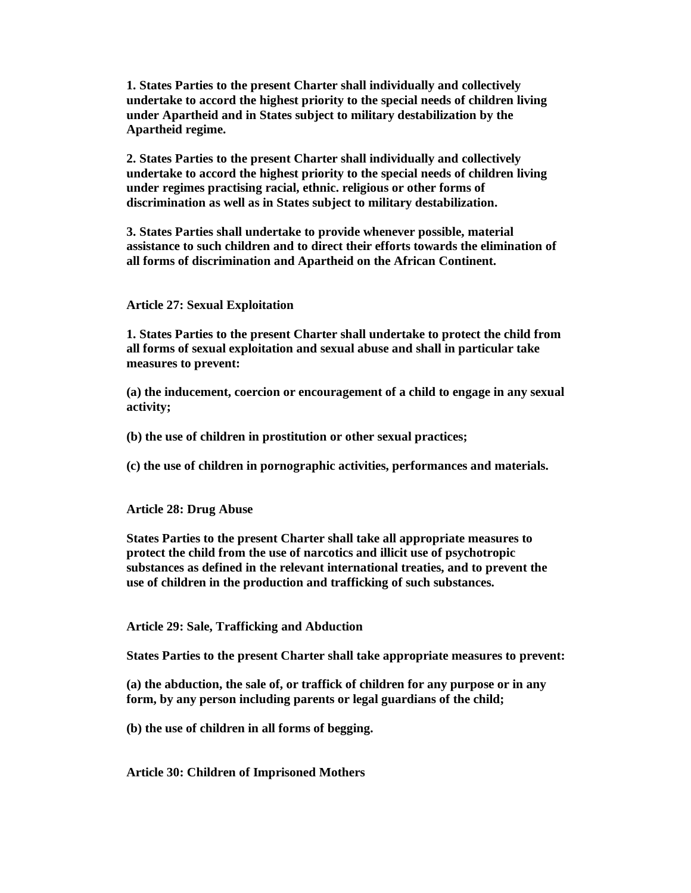**1. States Parties to the present Charter shall individually and collectively undertake to accord the highest priority to the special needs of children living under Apartheid and in States subject to military destabilization by the Apartheid regime.**

**2. States Parties to the present Charter shall individually and collectively undertake to accord the highest priority to the special needs of children living under regimes practising racial, ethnic. religious or other forms of discrimination as well as in States subject to military destabilization.**

**3. States Parties shall undertake to provide whenever possible, material assistance to such children and to direct their efforts towards the elimination of all forms of discrimination and Apartheid on the African Continent.**

**Article 27: Sexual Exploitation**

**1. States Parties to the present Charter shall undertake to protect the child from all forms of sexual exploitation and sexual abuse and shall in particular take measures to prevent:**

**(a) the inducement, coercion or encouragement of a child to engage in any sexual activity;**

**(b) the use of children in prostitution or other sexual practices;**

**(c) the use of children in pornographic activities, performances and materials.**

**Article 28: Drug Abuse**

**States Parties to the present Charter shall take all appropriate measures to protect the child from the use of narcotics and illicit use of psychotropic substances as defined in the relevant international treaties, and to prevent the use of children in the production and trafficking of such substances.**

**Article 29: Sale, Trafficking and Abduction**

**States Parties to the present Charter shall take appropriate measures to prevent:**

**(a) the abduction, the sale of, or traffick of children for any purpose or in any form, by any person including parents or legal guardians of the child;**

**(b) the use of children in all forms of begging.**

**Article 30: Children of Imprisoned Mothers**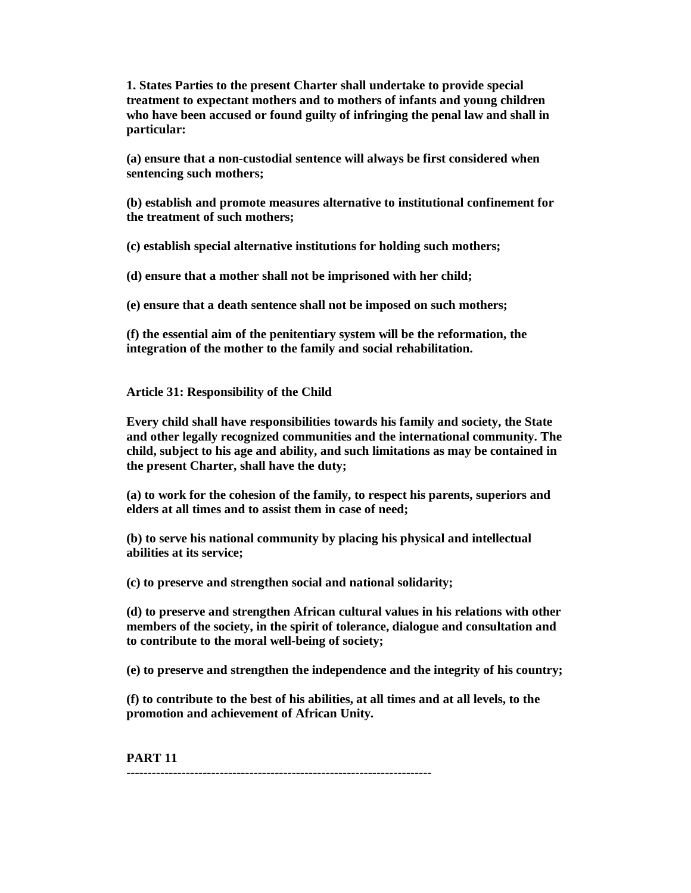**1. States Parties to the present Charter shall undertake to provide special treatment to expectant mothers and to mothers of infants and young children who have been accused or found guilty of infringing the penal law and shall in particular:**

**(a) ensure that a non-custodial sentence will always be first considered when sentencing such mothers;**

**(b) establish and promote measures alternative to institutional confinement for the treatment of such mothers;**

**(c) establish special alternative institutions for holding such mothers;**

**(d) ensure that a mother shall not be imprisoned with her child;**

**(e) ensure that a death sentence shall not be imposed on such mothers;**

**(f) the essential aim of the penitentiary system will be the reformation, the integration of the mother to the family and social rehabilitation.**

**Article 31: Responsibility of the Child**

**Every child shall have responsibilities towards his family and society, the State and other legally recognized communities and the international community. The child, subject to his age and ability, and such limitations as may be contained in the present Charter, shall have the duty;**

**(a) to work for the cohesion of the family, to respect his parents, superiors and elders at all times and to assist them in case of need;**

**(b) to serve his national community by placing his physical and intellectual abilities at its service;**

**(c) to preserve and strengthen social and national solidarity;**

**(d) to preserve and strengthen African cultural values in his relations with other members of the society, in the spirit of tolerance, dialogue and consultation and to contribute to the moral well-being of society;**

**(e) to preserve and strengthen the independence and the integrity of his country;**

**(f) to contribute to the best of his abilities, at all times and at all levels, to the promotion and achievement of African Unity.**

**PART 11**

**------------------------------------------------------------------------**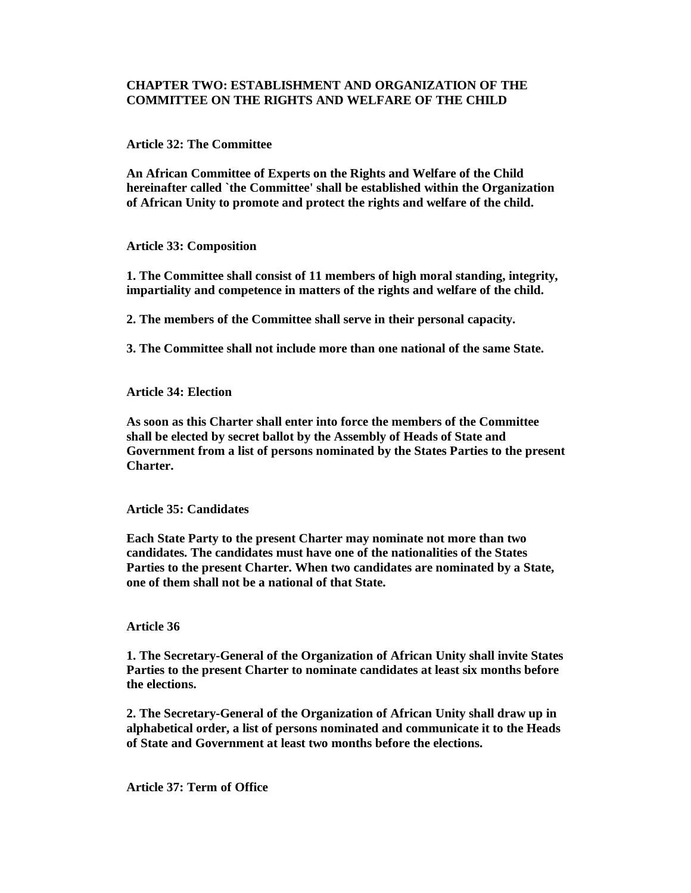### **CHAPTER TWO: ESTABLISHMENT AND ORGANIZATION OF THE COMMITTEE ON THE RIGHTS AND WELFARE OF THE CHILD**

**Article 32: The Committee**

**An African Committee of Experts on the Rights and Welfare of the Child hereinafter called `the Committee' shall be established within the Organization of African Unity to promote and protect the rights and welfare of the child.**

**Article 33: Composition**

**1. The Committee shall consist of 11 members of high moral standing, integrity, impartiality and competence in matters of the rights and welfare of the child.**

**2. The members of the Committee shall serve in their personal capacity.**

**3. The Committee shall not include more than one national of the same State.**

**Article 34: Election**

**As soon as this Charter shall enter into force the members of the Committee shall be elected by secret ballot by the Assembly of Heads of State and Government from a list of persons nominated by the States Parties to the present Charter.**

**Article 35: Candidates**

**Each State Party to the present Charter may nominate not more than two candidates. The candidates must have one of the nationalities of the States Parties to the present Charter. When two candidates are nominated by a State, one of them shall not be a national of that State.**

**Article 36**

**1. The Secretary-General of the Organization of African Unity shall invite States Parties to the present Charter to nominate candidates at least six months before the elections.**

**2. The Secretary-General of the Organization of African Unity shall draw up in alphabetical order, a list of persons nominated and communicate it to the Heads of State and Government at least two months before the elections.**

**Article 37: Term of Office**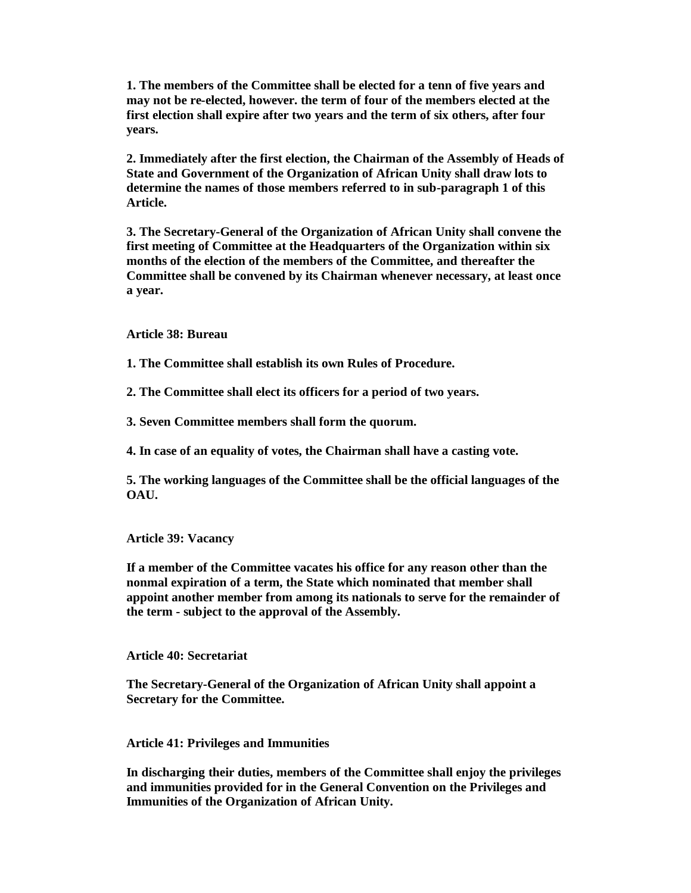**1. The members of the Committee shall be elected for a tenn of five years and may not be re-elected, however. the term of four of the members elected at the first election shall expire after two years and the term of six others, after four years.**

**2. Immediately after the first election, the Chairman of the Assembly of Heads of State and Government of the Organization of African Unity shall draw lots to determine the names of those members referred to in sub-paragraph 1 of this Article.**

**3. The Secretary-General of the Organization of African Unity shall convene the first meeting of Committee at the Headquarters of the Organization within six months of the election of the members of the Committee, and thereafter the Committee shall be convened by its Chairman whenever necessary, at least once a year.**

**Article 38: Bureau**

**1. The Committee shall establish its own Rules of Procedure.**

**2. The Committee shall elect its officers for a period of two years.**

**3. Seven Committee members shall form the quorum.**

**4. In case of an equality of votes, the Chairman shall have a casting vote.**

**5. The working languages of the Committee shall be the official languages of the OAU.**

**Article 39: Vacancy**

**If a member of the Committee vacates his office for any reason other than the nonmal expiration of a term, the State which nominated that member shall appoint another member from among its nationals to serve for the remainder of the term - subject to the approval of the Assembly.**

**Article 40: Secretariat**

**The Secretary-General of the Organization of African Unity shall appoint a Secretary for the Committee.**

**Article 41: Privileges and Immunities**

**In discharging their duties, members of the Committee shall enjoy the privileges and immunities provided for in the General Convention on the Privileges and Immunities of the Organization of African Unity.**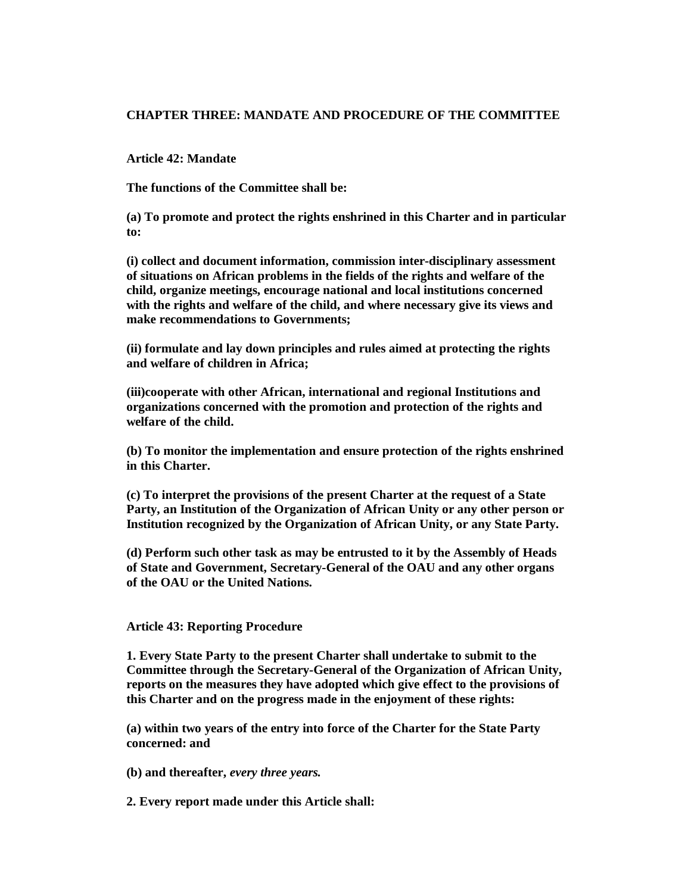#### **CHAPTER THREE: MANDATE AND PROCEDURE OF THE COMMITTEE**

**Article 42: Mandate**

**The functions of the Committee shall be:**

**(a) To promote and protect the rights enshrined in this Charter and in particular to:** 

**(i) collect and document information, commission inter-disciplinary assessment of situations on African problems in the fields of the rights and welfare of the child, organize meetings, encourage national and local institutions concerned with the rights and welfare of the child, and where necessary give its views and make recommendations to Governments;**

**(ii) formulate and lay down principles and rules aimed at protecting the rights and welfare of children in Africa;**

**(iii)cooperate with other African, international and regional Institutions and organizations concerned with the promotion and protection of the rights and welfare of the child.**

**(b) To monitor the implementation and ensure protection of the rights enshrined in this Charter.**

**(c) To interpret the provisions of the present Charter at the request of a State Party, an Institution of the Organization of African Unity or any other person or Institution recognized by the Organization of African Unity, or any State Party.**

**(d) Perform such other task as may be entrusted to it by the Assembly of Heads of State and Government, Secretary-General of the OAU and any other organs of the OAU or the United Nations.**

**Article 43: Reporting Procedure**

**1. Every State Party to the present Charter shall undertake to submit to the Committee through the Secretary-General of the Organization of African Unity, reports on the measures they have adopted which give effect to the provisions of this Charter and on the progress made in the enjoyment of these rights:**

**(a) within two years of the entry into force of the Charter for the State Party concerned: and**

**(b) and thereafter,** *every three years.*

**2. Every report made under this Article shall:**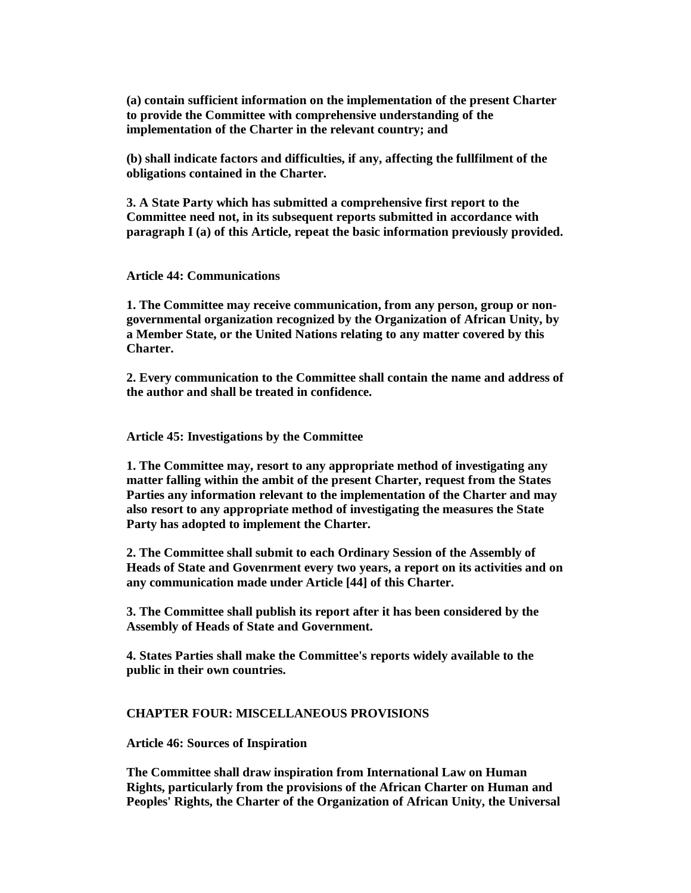**(a) contain sufficient information on the implementation of the present Charter to provide the Committee with comprehensive understanding of the implementation of the Charter in the relevant country; and**

**(b) shall indicate factors and difficulties, if any, affecting the fullfilment of the obligations contained in the Charter.**

**3. A State Party which has submitted a comprehensive first report to the Committee need not, in its subsequent reports submitted in accordance with paragraph I (a) of this Article, repeat the basic information previously provided.**

#### **Article 44: Communications**

**1. The Committee may receive communication, from any person, group or nongovernmental organization recognized by the Organization of African Unity, by a Member State, or the United Nations relating to any matter covered by this Charter.**

**2. Every communication to the Committee shall contain the name and address of the author and shall be treated in confidence.**

**Article 45: Investigations by the Committee**

**1. The Committee may, resort to any appropriate method of investigating any matter falling within the ambit of the present Charter, request from the States Parties any information relevant to the implementation of the Charter and may also resort to any appropriate method of investigating the measures the State Party has adopted to implement the Charter.**

**2. The Committee shall submit to each Ordinary Session of the Assembly of Heads of State and Govenrment every two years, a report on its activities and on any communication made under Article [44] of this Charter.**

**3. The Committee shall publish its report after it has been considered by the Assembly of Heads of State and Government.**

**4. States Parties shall make the Committee's reports widely available to the public in their own countries.**

#### **CHAPTER FOUR: MISCELLANEOUS PROVISIONS**

**Article 46: Sources of Inspiration** 

**The Committee shall draw inspiration from International Law on Human Rights, particularly from the provisions of the African Charter on Human and Peoples' Rights, the Charter of the Organization of African Unity, the Universal**